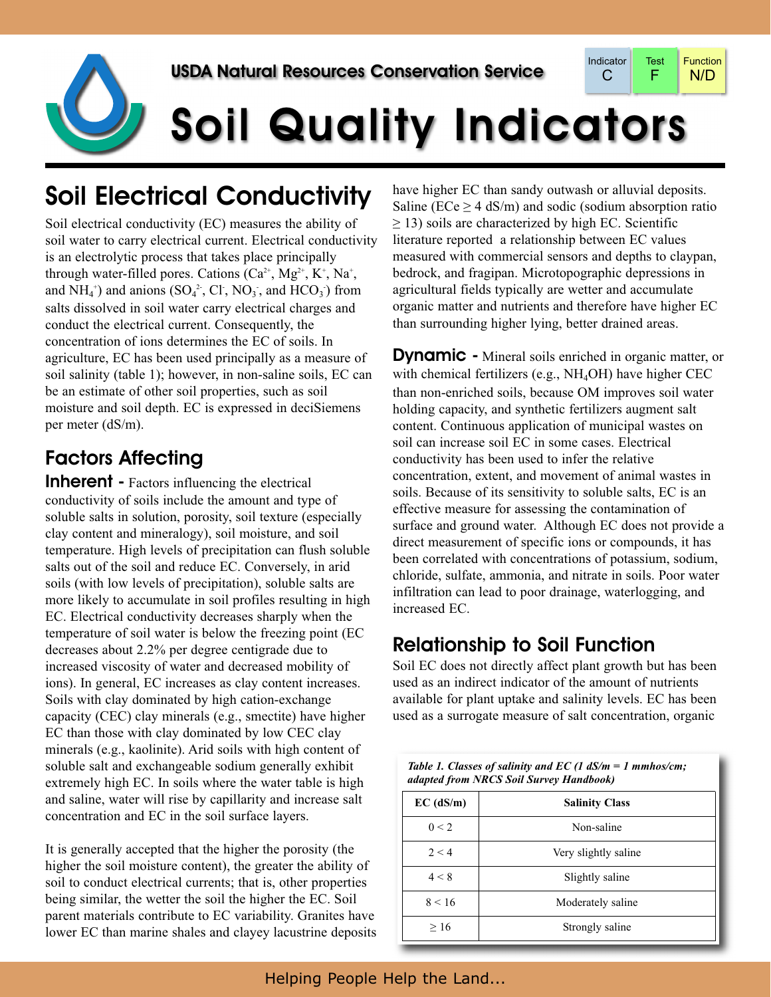

# Soil Quality Indicators

## Soil Electrical Conductivity

Soil electrical conductivity (EC) measures the ability of soil water to carry electrical current. Electrical conductivity is an electrolytic process that takes place principally through water-filled pores. Cations  $(Ca^{2+}, Mg^{2+}, K^+, Na^+,$ and  $NH_4^+$ ) and anions ( $SO_4^2$ , Cl,  $NO_3$ , and  $HCO_3^-$ ) from salts dissolved in soil water carry electrical charges and conduct the electrical current. Consequently, the concentration of ions determines the EC of soils. In agriculture, EC has been used principally as a measure of soil salinity (table 1); however, in non-saline soils, EC can be an estimate of other soil properties, such as soil moisture and soil depth. EC is expressed in deciSiemens per meter (dS/m).

### Factors Affecting

**Inherent** - Factors influencing the electrical conductivity of soils include the amount and type of soluble salts in solution, porosity, soil texture (especially clay content and mineralogy), soil moisture, and soil temperature. High levels of precipitation can flush soluble salts out of the soil and reduce EC. Conversely, in arid soils (with low levels of precipitation), soluble salts are more likely to accumulate in soil profiles resulting in high EC. Electrical conductivity decreases sharply when the temperature of soil water is below the freezing point (EC decreases about 2.2% per degree centigrade due to increased viscosity of water and decreased mobility of ions). In general, EC increases as clay content increases. Soils with clay dominated by high cation-exchange capacity (CEC) clay minerals (e.g., smectite) have higher EC than those with clay dominated by low CEC clay minerals (e.g., kaolinite). Arid soils with high content of soluble salt and exchangeable sodium generally exhibit extremely high EC. In soils where the water table is high and saline, water will rise by capillarity and increase salt concentration and EC in the soil surface layers.

It is generally accepted that the higher the porosity (the higher the soil moisture content), the greater the ability of soil to conduct electrical currents; that is, other properties being similar, the wetter the soil the higher the EC. Soil parent materials contribute to EC variability. Granites have lower EC than marine shales and clayey lacustrine deposits have higher EC than sandy outwash or alluvial deposits. Saline ( $ECe > 4$  dS/m) and sodic (sodium absorption ratio  $\geq$  13) soils are characterized by high EC. Scientific literature reported a relationship between EC values measured with commercial sensors and depths to claypan, bedrock, and fragipan. Microtopographic depressions in agricultural fields typically are wetter and accumulate organic matter and nutrients and therefore have higher EC than surrounding higher lying, better drained areas.

**Dynamic** - Mineral soils enriched in organic matter, or with chemical fertilizers (e.g., NH<sub>4</sub>OH) have higher CEC than non-enriched soils, because OM improves soil water holding capacity, and synthetic fertilizers augment salt content. Continuous application of municipal wastes on soil can increase soil EC in some cases. Electrical conductivity has been used to infer the relative concentration, extent, and movement of animal wastes in soils. Because of its sensitivity to soluble salts, EC is an effective measure for assessing the contamination of surface and ground water. Although EC does not provide a direct measurement of specific ions or compounds, it has been correlated with concentrations of potassium, sodium, chloride, sulfate, ammonia, and nitrate in soils. Poor water infiltration can lead to poor drainage, waterlogging, and increased EC.

#### Relationship to Soil Function

Soil EC does not directly affect plant growth but has been used as an indirect indicator of the amount of nutrients available for plant uptake and salinity levels. EC has been used as a surrogate measure of salt concentration, organic

*Table 1. Classes of salinity and EC (1 dS/m = 1 mmhos/cm;*

| adapted from NRCS Soil Survey Handbook) |                       |  |  |
|-----------------------------------------|-----------------------|--|--|
| $EC$ (dS/m)                             | <b>Salinity Class</b> |  |  |
| 0 < 2                                   | Non-saline            |  |  |
| 2 < 4                                   | Very slightly saline  |  |  |
| 4 < 8                                   | Slightly saline       |  |  |
| 8 < 16                                  | Moderately saline     |  |  |
| >16                                     | Strongly saline       |  |  |